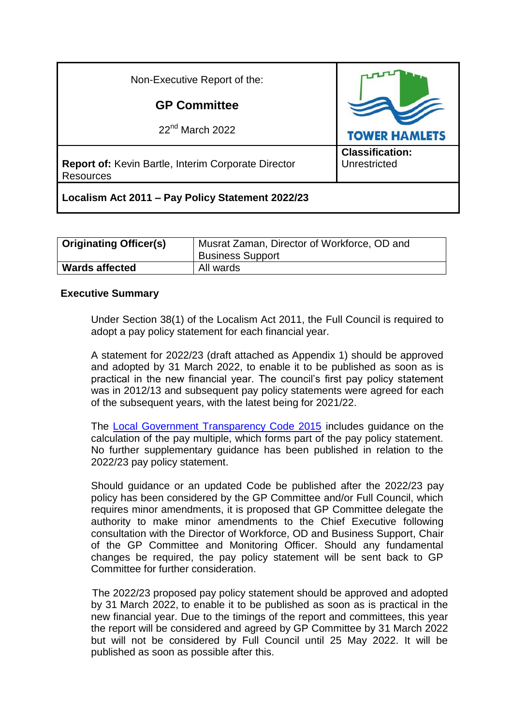| Non-Executive Report of the:                                                   |                                        |
|--------------------------------------------------------------------------------|----------------------------------------|
| <b>GP Committee</b>                                                            |                                        |
| $22nd$ March 2022                                                              | <b>TOWER HAMLETS</b>                   |
| <b>Report of: Kevin Bartle, Interim Corporate Director</b><br><b>Resources</b> | <b>Classification:</b><br>Unrestricted |
| Localism Act 2011 - Pay Policy Statement 2022/23                               |                                        |

| <b>Originating Officer(s)</b> | Musrat Zaman, Director of Workforce, OD and<br><b>Business Support</b> |
|-------------------------------|------------------------------------------------------------------------|
| <b>Wards affected</b>         | All wards                                                              |

#### **Executive Summary**

Under Section 38(1) of the Localism Act 2011, the Full Council is required to adopt a pay policy statement for each financial year.

A statement for 2022/23 (draft attached as Appendix 1) should be approved and adopted by 31 March 2022, to enable it to be published as soon as is practical in the new financial year. The council's first pay policy statement was in 2012/13 and subsequent pay policy statements were agreed for each of the subsequent years, with the latest being for 2021/22.

The [Local Government Transparency Code 2015](https://www.gov.uk/government/publications/local-government-transparency-code-2015) includes guidance on the calculation of the pay multiple, which forms part of the pay policy statement. No further supplementary guidance has been published in relation to the 2022/23 pay policy statement.

Should guidance or an updated Code be published after the 2022/23 pay policy has been considered by the GP Committee and/or Full Council, which requires minor amendments, it is proposed that GP Committee delegate the authority to make minor amendments to the Chief Executive following consultation with the Director of Workforce, OD and Business Support, Chair of the GP Committee and Monitoring Officer. Should any fundamental changes be required, the pay policy statement will be sent back to GP Committee for further consideration.

 The 2022/23 proposed pay policy statement should be approved and adopted by 31 March 2022, to enable it to be published as soon as is practical in the new financial year. Due to the timings of the report and committees, this year the report will be considered and agreed by GP Committee by 31 March 2022 but will not be considered by Full Council until 25 May 2022. It will be published as soon as possible after this.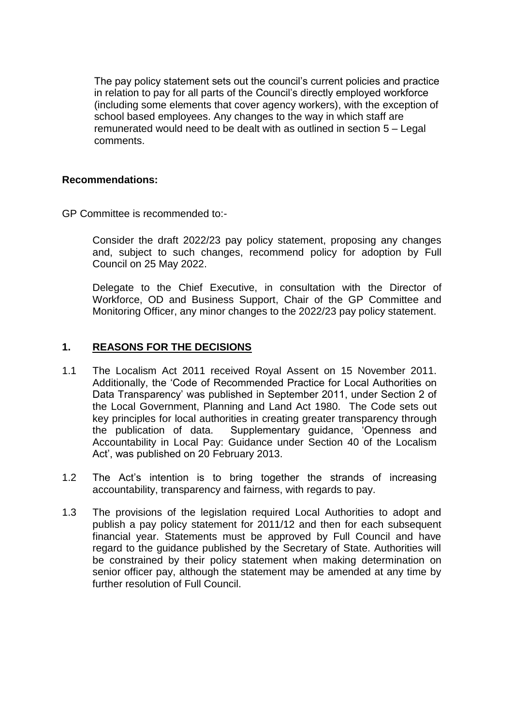The pay policy statement sets out the council's current policies and practice in relation to pay for all parts of the Council's directly employed workforce (including some elements that cover agency workers), with the exception of school based employees. Any changes to the way in which staff are remunerated would need to be dealt with as outlined in section 5 – Legal comments.

#### **Recommendations:**

GP Committee is recommended to:-

Consider the draft 2022/23 pay policy statement, proposing any changes and, subject to such changes, recommend policy for adoption by Full Council on 25 May 2022.

Delegate to the Chief Executive, in consultation with the Director of Workforce, OD and Business Support, Chair of the GP Committee and Monitoring Officer, any minor changes to the 2022/23 pay policy statement.

### **1. REASONS FOR THE DECISIONS**

- 1.1 The Localism Act 2011 received Royal Assent on 15 November 2011. Additionally, the 'Code of Recommended Practice for Local Authorities on Data Transparency' was published in September 2011, under Section 2 of the Local Government, Planning and Land Act 1980. The Code sets out key principles for local authorities in creating greater transparency through the publication of data. Supplementary guidance, 'Openness and Accountability in Local Pay: Guidance under Section 40 of the Localism Act', was published on 20 February 2013.
- 1.2 The Act's intention is to bring together the strands of increasing accountability, transparency and fairness, with regards to pay.
- 1.3 The provisions of the legislation required Local Authorities to adopt and publish a pay policy statement for 2011/12 and then for each subsequent financial year. Statements must be approved by Full Council and have regard to the guidance published by the Secretary of State. Authorities will be constrained by their policy statement when making determination on senior officer pay, although the statement may be amended at any time by further resolution of Full Council.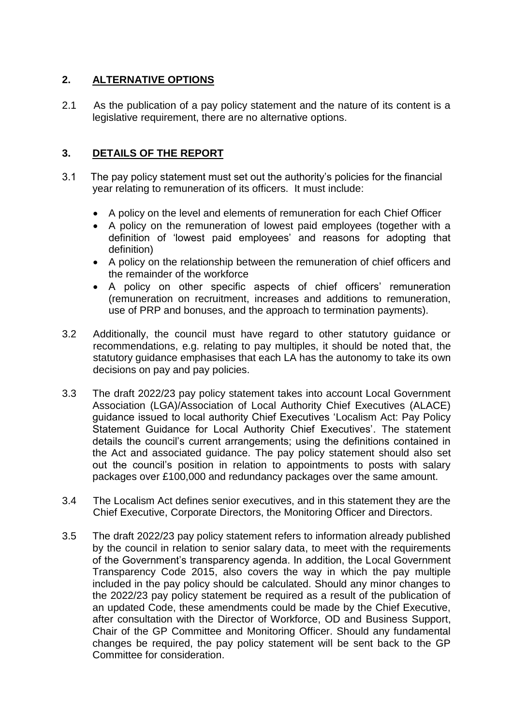# **2. ALTERNATIVE OPTIONS**

2.1 As the publication of a pay policy statement and the nature of its content is a legislative requirement, there are no alternative options.

## **3. DETAILS OF THE REPORT**

- 3.1 The pay policy statement must set out the authority's policies for the financial year relating to remuneration of its officers. It must include:
	- A policy on the level and elements of remuneration for each Chief Officer
	- A policy on the remuneration of lowest paid employees (together with a definition of 'lowest paid employees' and reasons for adopting that definition)
	- A policy on the relationship between the remuneration of chief officers and the remainder of the workforce
	- A policy on other specific aspects of chief officers' remuneration (remuneration on recruitment, increases and additions to remuneration, use of PRP and bonuses, and the approach to termination payments).
- 3.2 Additionally, the council must have regard to other statutory guidance or recommendations, e.g. relating to pay multiples, it should be noted that, the statutory guidance emphasises that each LA has the autonomy to take its own decisions on pay and pay policies.
- 3.3 The draft 2022/23 pay policy statement takes into account Local Government Association (LGA)/Association of Local Authority Chief Executives (ALACE) guidance issued to local authority Chief Executives 'Localism Act: Pay Policy Statement Guidance for Local Authority Chief Executives'. The statement details the council's current arrangements; using the definitions contained in the Act and associated guidance. The pay policy statement should also set out the council's position in relation to appointments to posts with salary packages over £100,000 and redundancy packages over the same amount.
- 3.4 The Localism Act defines senior executives, and in this statement they are the Chief Executive, Corporate Directors, the Monitoring Officer and Directors.
- 3.5 The draft 2022/23 pay policy statement refers to information already published by the council in relation to senior salary data, to meet with the requirements of the Government's transparency agenda. In addition, the Local Government Transparency Code 2015, also covers the way in which the pay multiple included in the pay policy should be calculated. Should any minor changes to the 2022/23 pay policy statement be required as a result of the publication of an updated Code, these amendments could be made by the Chief Executive, after consultation with the Director of Workforce, OD and Business Support, Chair of the GP Committee and Monitoring Officer. Should any fundamental changes be required, the pay policy statement will be sent back to the GP Committee for consideration.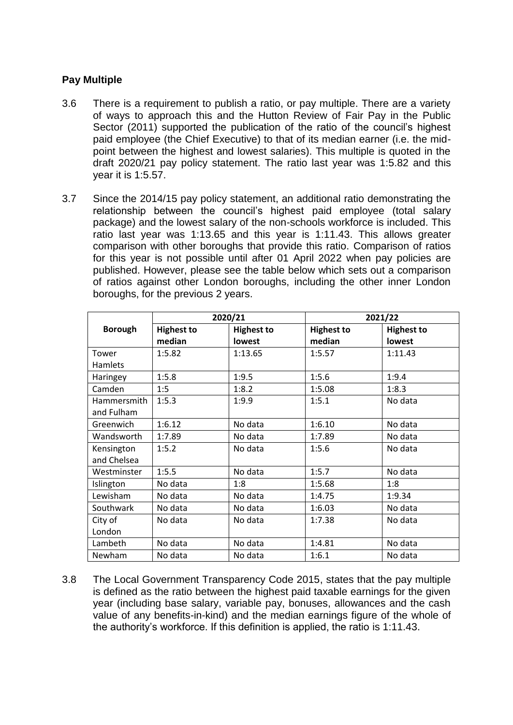### **Pay Multiple**

- 3.6 There is a requirement to publish a ratio, or pay multiple. There are a variety of ways to approach this and the Hutton Review of Fair Pay in the Public Sector (2011) supported the publication of the ratio of the council's highest paid employee (the Chief Executive) to that of its median earner (i.e. the midpoint between the highest and lowest salaries). This multiple is quoted in the draft 2020/21 pay policy statement. The ratio last year was 1:5.82 and this year it is 1:5.57.
- 3.7 Since the 2014/15 pay policy statement, an additional ratio demonstrating the relationship between the council's highest paid employee (total salary package) and the lowest salary of the non-schools workforce is included. This ratio last year was 1:13.65 and this year is 1:11.43. This allows greater comparison with other boroughs that provide this ratio. Comparison of ratios for this year is not possible until after 01 April 2022 when pay policies are published. However, please see the table below which sets out a comparison of ratios against other London boroughs, including the other inner London boroughs, for the previous 2 years.

|                | 2020/21           |                   | 2021/22           |                   |
|----------------|-------------------|-------------------|-------------------|-------------------|
| <b>Borough</b> | <b>Highest to</b> | <b>Highest to</b> | <b>Highest to</b> | <b>Highest to</b> |
|                | median            | lowest            | median            | lowest            |
| Tower          | 1:5.82            | 1:13.65           | 1:5.57            | 1:11.43           |
| Hamlets        |                   |                   |                   |                   |
| Haringey       | 1:5.8             | 1:9.5             | 1:5.6             | 1:9.4             |
| Camden         | 1:5               | 1:8.2             | 1:5.08            | 1:8.3             |
| Hammersmith    | 1:5.3             | 1:9.9             | 1:5.1             | No data           |
| and Fulham     |                   |                   |                   |                   |
| Greenwich      | 1:6.12            | No data           | 1:6.10            | No data           |
| Wandsworth     | 1:7.89            | No data           | 1:7.89            | No data           |
| Kensington     | 1:5.2             | No data           | 1:5.6             | No data           |
| and Chelsea    |                   |                   |                   |                   |
| Westminster    | 1:5.5             | No data           | 1:5.7             | No data           |
| Islington      | No data           | 1:8               | 1:5.68            | 1:8               |
| Lewisham       | No data           | No data           | 1:4.75            | 1:9.34            |
| Southwark      | No data           | No data           | 1:6.03            | No data           |
| City of        | No data           | No data           | 1:7.38            | No data           |
| London         |                   |                   |                   |                   |
| Lambeth        | No data           | No data           | 1:4.81            | No data           |
| Newham         | No data           | No data           | 1:6.1             | No data           |

3.8 The Local Government Transparency Code 2015, states that the pay multiple is defined as the ratio between the highest paid taxable earnings for the given year (including base salary, variable pay, bonuses, allowances and the cash value of any benefits-in-kind) and the median earnings figure of the whole of the authority's workforce. If this definition is applied, the ratio is 1:11.43.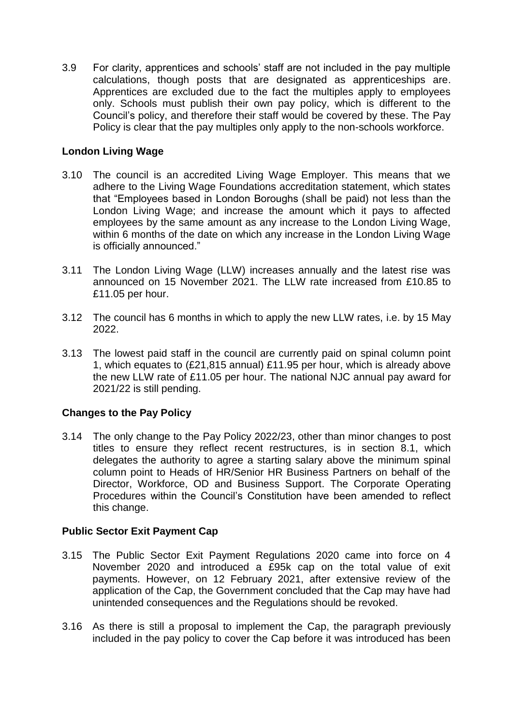3.9 For clarity, apprentices and schools' staff are not included in the pay multiple calculations, though posts that are designated as apprenticeships are. Apprentices are excluded due to the fact the multiples apply to employees only. Schools must publish their own pay policy, which is different to the Council's policy, and therefore their staff would be covered by these. The Pay Policy is clear that the pay multiples only apply to the non-schools workforce.

### **London Living Wage**

- 3.10 The council is an accredited Living Wage Employer. This means that we adhere to the Living Wage Foundations accreditation statement, which states that "Employees based in London Boroughs (shall be paid) not less than the London Living Wage; and increase the amount which it pays to affected employees by the same amount as any increase to the London Living Wage, within 6 months of the date on which any increase in the London Living Wage is officially announced."
- 3.11 The London Living Wage (LLW) increases annually and the latest rise was announced on 15 November 2021. The LLW rate increased from £10.85 to £11.05 per hour.
- 3.12 The council has 6 months in which to apply the new LLW rates, i.e. by 15 May 2022.
- 3.13 The lowest paid staff in the council are currently paid on spinal column point 1, which equates to (£21,815 annual) £11.95 per hour, which is already above the new LLW rate of £11.05 per hour. The national NJC annual pay award for 2021/22 is still pending.

## **Changes to the Pay Policy**

3.14 The only change to the Pay Policy 2022/23, other than minor changes to post titles to ensure they reflect recent restructures, is in section 8.1, which delegates the authority to agree a starting salary above the minimum spinal column point to Heads of HR/Senior HR Business Partners on behalf of the Director, Workforce, OD and Business Support. The Corporate Operating Procedures within the Council's Constitution have been amended to reflect this change.

#### **Public Sector Exit Payment Cap**

- 3.15 The Public Sector Exit Payment Regulations 2020 came into force on 4 November 2020 and introduced a £95k cap on the total value of exit payments. However, on 12 February 2021, after extensive review of the application of the Cap, the Government concluded that the Cap may have had unintended consequences and the Regulations should be revoked.
- 3.16 As there is still a proposal to implement the Cap, the paragraph previously included in the pay policy to cover the Cap before it was introduced has been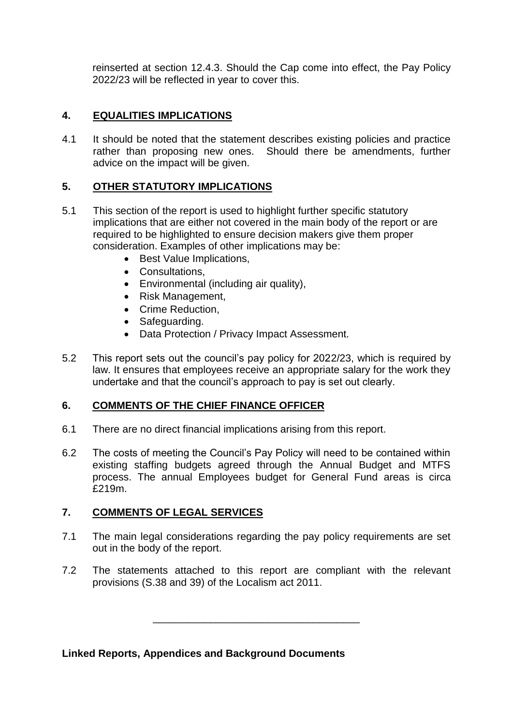reinserted at section 12.4.3. Should the Cap come into effect, the Pay Policy 2022/23 will be reflected in year to cover this.

# **4. EQUALITIES IMPLICATIONS**

4.1 It should be noted that the statement describes existing policies and practice rather than proposing new ones. Should there be amendments, further advice on the impact will be given.

## **5. OTHER STATUTORY IMPLICATIONS**

- 5.1 This section of the report is used to highlight further specific statutory implications that are either not covered in the main body of the report or are required to be highlighted to ensure decision makers give them proper consideration. Examples of other implications may be:
	- Best Value Implications,
	- Consultations,
	- Environmental (including air quality),
	- Risk Management,
	- Crime Reduction.
	- Safeguarding.
	- Data Protection / Privacy Impact Assessment.
- 5.2 This report sets out the council's pay policy for 2022/23, which is required by law. It ensures that employees receive an appropriate salary for the work they undertake and that the council's approach to pay is set out clearly.

## **6. COMMENTS OF THE CHIEF FINANCE OFFICER**

- 6.1 There are no direct financial implications arising from this report.
- 6.2 The costs of meeting the Council's Pay Policy will need to be contained within existing staffing budgets agreed through the Annual Budget and MTFS process. The annual Employees budget for General Fund areas is circa £219m.

## **7. COMMENTS OF LEGAL SERVICES**

- 7.1 The main legal considerations regarding the pay policy requirements are set out in the body of the report.
- 7.2 The statements attached to this report are compliant with the relevant provisions (S.38 and 39) of the Localism act 2011.

\_\_\_\_\_\_\_\_\_\_\_\_\_\_\_\_\_\_\_\_\_\_\_\_\_\_\_\_\_\_\_\_\_\_\_\_

**Linked Reports, Appendices and Background Documents**